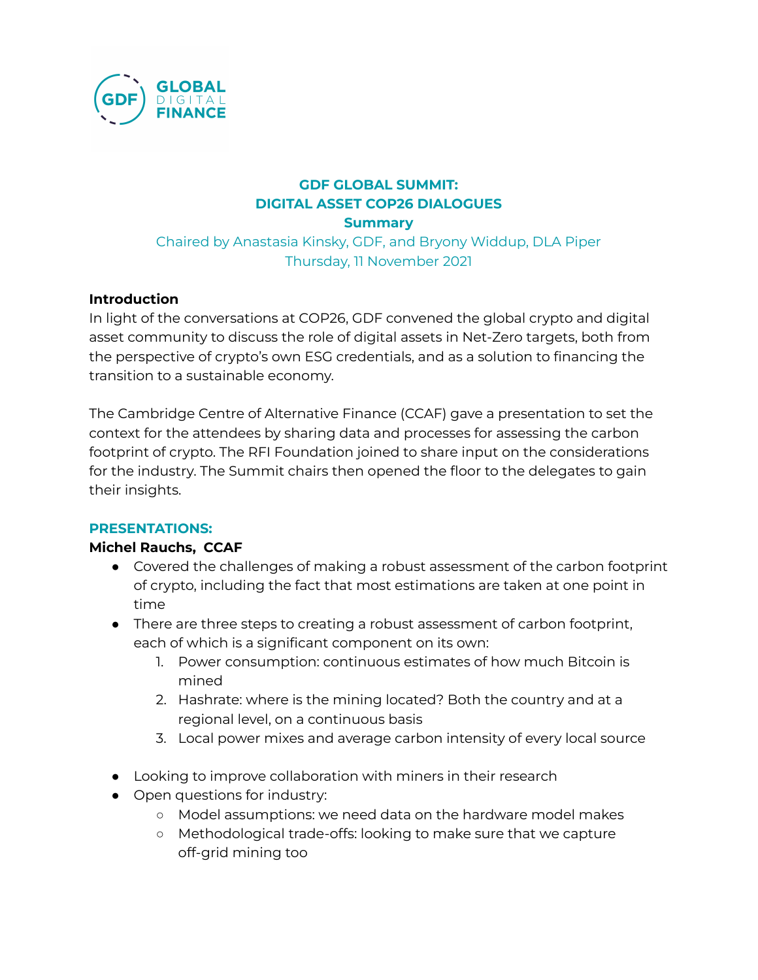

# **GDF GLOBAL SUMMIT: DIGITAL ASSET COP26 DIALOGUES**

**Summary**

Chaired by Anastasia Kinsky, GDF, and Bryony Widdup, DLA Piper Thursday, 11 November 2021

## **Introduction**

In light of the conversations at COP26, GDF convened the global crypto and digital asset community to discuss the role of digital assets in Net-Zero targets, both from the perspective of crypto's own ESG credentials, and as a solution to financing the transition to a sustainable economy.

The Cambridge Centre of Alternative Finance (CCAF) gave a presentation to set the context for the attendees by sharing data and processes for assessing the carbon footprint of crypto. The RFI Foundation joined to share input on the considerations for the industry. The Summit chairs then opened the floor to the delegates to gain their insights.

### **PRESENTATIONS:**

### **Michel Rauchs, CCAF**

- Covered the challenges of making a robust assessment of the carbon footprint of crypto, including the fact that most estimations are taken at one point in time
- There are three steps to creating a robust assessment of carbon footprint, each of which is a significant component on its own:
	- 1. Power consumption: continuous estimates of how much Bitcoin is mined
	- 2. Hashrate: where is the mining located? Both the country and at a regional level, on a continuous basis
	- 3. Local power mixes and average carbon intensity of every local source
- Looking to improve collaboration with miners in their research
- Open questions for industry:
	- Model assumptions: we need data on the hardware model makes
	- Methodological trade-offs: looking to make sure that we capture off-grid mining too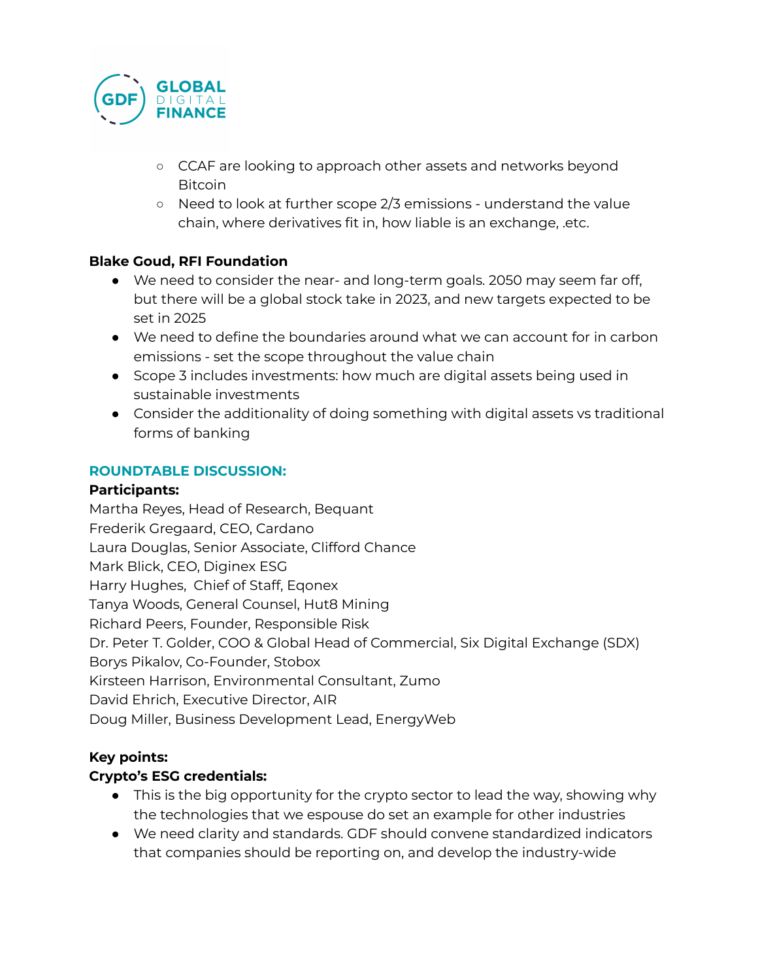

- CCAF are looking to approach other assets and networks beyond Bitcoin
- Need to look at further scope 2/3 emissions understand the value chain, where derivatives fit in, how liable is an exchange, .etc.

## **Blake Goud, RFI Foundation**

- We need to consider the near- and long-term goals. 2050 may seem far off, but there will be a global stock take in 2023, and new targets expected to be set in 2025
- We need to define the boundaries around what we can account for in carbon emissions - set the scope throughout the value chain
- Scope 3 includes investments: how much are digital assets being used in sustainable investments
- Consider the additionality of doing something with digital assets vs traditional forms of banking

### **ROUNDTABLE DISCUSSION:**

### **Participants:**

Martha Reyes, Head of Research, Bequant Frederik Gregaard, CEO, Cardano Laura Douglas, Senior Associate, Clifford Chance Mark Blick, CEO, Diginex ESG Harry Hughes, Chief of Staff, Eqonex Tanya Woods, General Counsel, Hut8 Mining Richard Peers, Founder, Responsible Risk Dr. Peter T. Golder, COO & Global Head of Commercial, Six Digital Exchange (SDX) Borys Pikalov, Co-Founder, Stobox Kirsteen Harrison, Environmental Consultant, Zumo David Ehrich, Executive Director, AIR Doug Miller, Business Development Lead, EnergyWeb

### **Key points:**

### **Crypto's ESG credentials:**

- This is the big opportunity for the crypto sector to lead the way, showing why the technologies that we espouse do set an example for other industries
- We need clarity and standards. GDF should convene standardized indicators that companies should be reporting on, and develop the industry-wide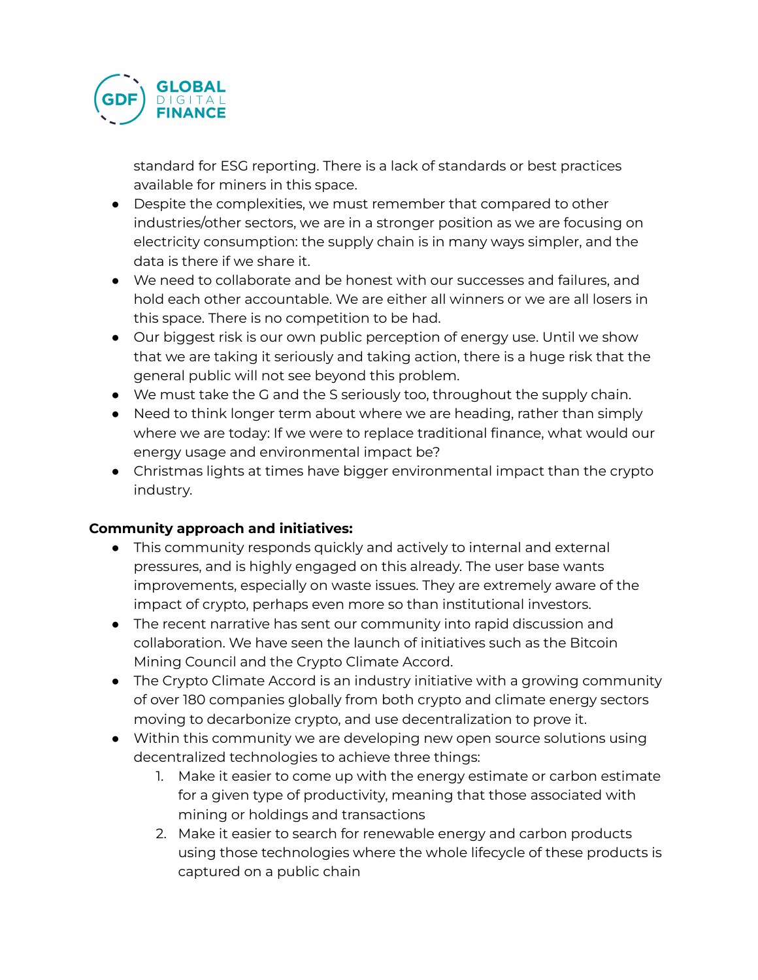

standard for ESG reporting. There is a lack of standards or best practices available for miners in this space.

- Despite the complexities, we must remember that compared to other industries/other sectors, we are in a stronger position as we are focusing on electricity consumption: the supply chain is in many ways simpler, and the data is there if we share it.
- We need to collaborate and be honest with our successes and failures, and hold each other accountable. We are either all winners or we are all losers in this space. There is no competition to be had.
- Our biggest risk is our own public perception of energy use. Until we show that we are taking it seriously and taking action, there is a huge risk that the general public will not see beyond this problem.
- We must take the G and the S seriously too, throughout the supply chain.
- Need to think longer term about where we are heading, rather than simply where we are today: If we were to replace traditional finance, what would our energy usage and environmental impact be?
- Christmas lights at times have bigger environmental impact than the crypto industry.

### **Community approach and initiatives:**

- This community responds quickly and actively to internal and external pressures, and is highly engaged on this already. The user base wants improvements, especially on waste issues. They are extremely aware of the impact of crypto, perhaps even more so than institutional investors.
- The recent narrative has sent our community into rapid discussion and collaboration. We have seen the launch of initiatives such as the Bitcoin Mining Council and the Crypto Climate Accord.
- The Crypto Climate Accord is an industry initiative with a growing community of over 180 companies globally from both crypto and climate energy sectors moving to decarbonize crypto, and use decentralization to prove it.
- Within this community we are developing new open source solutions using decentralized technologies to achieve three things:
	- 1. Make it easier to come up with the energy estimate or carbon estimate for a given type of productivity, meaning that those associated with mining or holdings and transactions
	- 2. Make it easier to search for renewable energy and carbon products using those technologies where the whole lifecycle of these products is captured on a public chain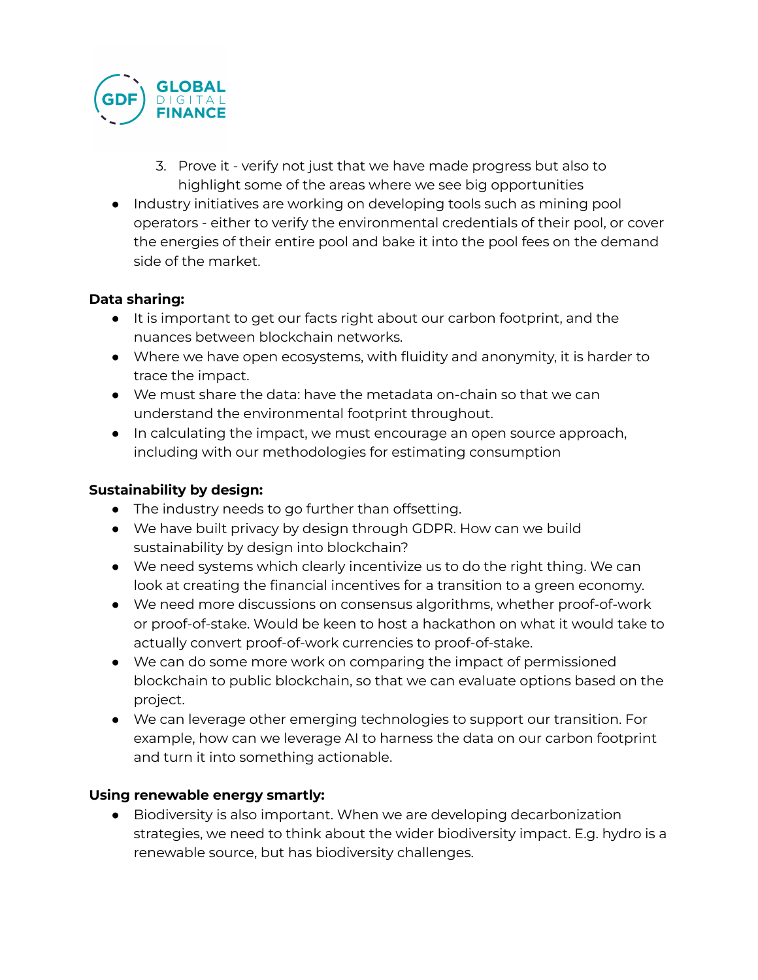

- 3. Prove it verify not just that we have made progress but also to highlight some of the areas where we see big opportunities
- Industry initiatives are working on developing tools such as mining pool operators - either to verify the environmental credentials of their pool, or cover the energies of their entire pool and bake it into the pool fees on the demand side of the market.

## **Data sharing:**

- It is important to get our facts right about our carbon footprint, and the nuances between blockchain networks.
- Where we have open ecosystems, with fluidity and anonymity, it is harder to trace the impact.
- We must share the data: have the metadata on-chain so that we can understand the environmental footprint throughout.
- In calculating the impact, we must encourage an open source approach, including with our methodologies for estimating consumption

### **Sustainability by design:**

- The industry needs to go further than offsetting.
- We have built privacy by design through GDPR. How can we build sustainability by design into blockchain?
- We need systems which clearly incentivize us to do the right thing. We can look at creating the financial incentives for a transition to a green economy.
- We need more discussions on consensus algorithms, whether proof-of-work or proof-of-stake. Would be keen to host a hackathon on what it would take to actually convert proof-of-work currencies to proof-of-stake.
- We can do some more work on comparing the impact of permissioned blockchain to public blockchain, so that we can evaluate options based on the project.
- We can leverage other emerging technologies to support our transition. For example, how can we leverage AI to harness the data on our carbon footprint and turn it into something actionable.

### **Using renewable energy smartly:**

● Biodiversity is also important. When we are developing decarbonization strategies, we need to think about the wider biodiversity impact. E.g. hydro is a renewable source, but has biodiversity challenges.